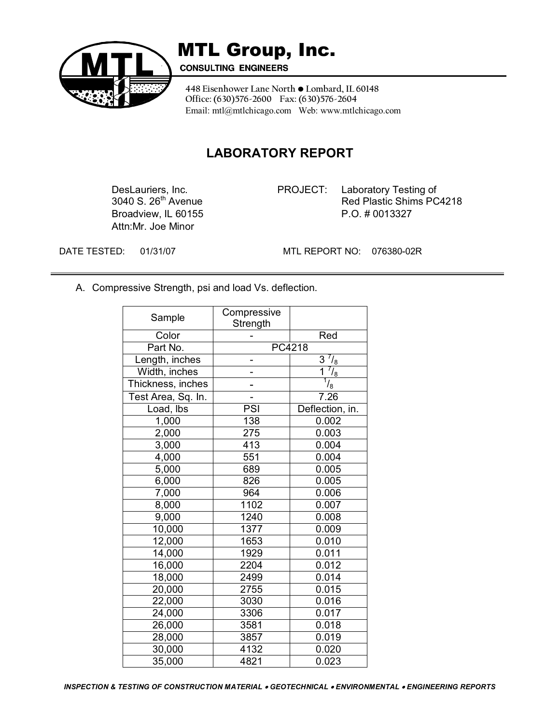

### MTL Group, Inc.

**CONSULTING ENGINEERS** 

448 Eisenhower Lane North  $\bullet$  Lombard, IL 60148 **Office: (630)576-2600 Fax: (630)576-2604**  Email: mtl@mtlchicago.com Web: www.mtlchicago.com

### **LABORATORY REPORT**

Attn:Mr. Joe Minor

DesLauriers, Inc. **PROJECT:** Laboratory Testing of 3040 S. 26<sup>th</sup> Avenue Red Plastic Shims PC Red Plastic Shims PC4218 Broadview, IL 60155 P.O. # 0013327

DATE TESTED: 01/31/07 MTL REPORT NO: 076380-02R

A. Compressive Strength, psi and load Vs. deflection.

| Sample             | Compressive<br>Strength |                  |
|--------------------|-------------------------|------------------|
| Color              |                         | Red              |
| Part No.           | PC4218                  |                  |
| Length, inches     |                         | $^{7}/_{8}$<br>3 |
| Width, inches      |                         | $^{7}/_{8}$<br>1 |
| Thickness, inches  |                         | $\frac{1}{2}$    |
| Test Area, Sq. In. |                         | 7.26             |
| Load, lbs          | PSI                     | Deflection, in.  |
| 1,000              | 138                     | 0.002            |
| 2,000              | 275                     | 0.003            |
| 3,000              | 413                     | 0.004            |
| 4,000              | 551                     | 0.004            |
| 5,000              | 689                     | 0.005            |
| 6,000              | 826                     | 0.005            |
| 7,000              | 964                     | 0.006            |
| 8,000              | 1102                    | 0.007            |
| 9,000              | 1240                    | 0.008            |
| 10,000             | 1377                    | 0.009            |
| 12,000             | 1653                    | 0.010            |
| 14,000             | 1929                    | 0.011            |
| 16,000             | 2204                    | 0.012            |
| 18,000             | 2499                    | 0.014            |
| 20,000             | 2755                    | 0.015            |
| 22,000             | 3030                    | 0.016            |
| 24,000             | 3306                    | 0.017            |
| 26,000             | 3581                    | 0.018            |
| 28,000             | 3857                    | 0.019            |
| 30,000             | 4132                    | 0.020            |
| 35,000             | 4821                    | 0.023            |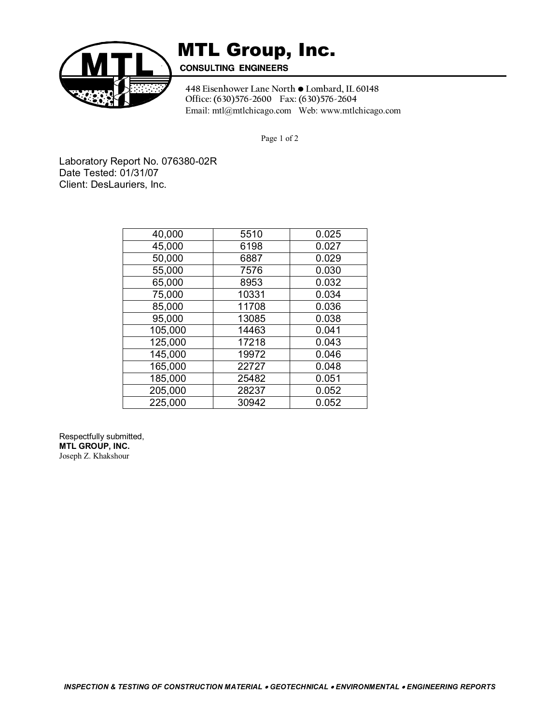

## **MTL Group, Inc.**<br>CONSULTING ENGINEERS

448 Eisenhower Lane North  $\bullet$  Lombard, IL 60148 **Office: (630)576-2600 Fax: (630)576-2604**  Email: mtl@mtlchicago.com Web: www.mtlchicago.com

Page 1 of 2

Laboratory Report No. 076380-02R Date Tested: 01/31/07 Client: DesLauriers, Inc.

| 40,000  | 5510  | 0.025 |
|---------|-------|-------|
| 45,000  | 6198  | 0.027 |
| 50,000  | 6887  | 0.029 |
| 55,000  | 7576  | 0.030 |
| 65,000  | 8953  | 0.032 |
| 75,000  | 10331 | 0.034 |
| 85,000  | 11708 | 0.036 |
| 95,000  | 13085 | 0.038 |
| 105,000 | 14463 | 0.041 |
| 125,000 | 17218 | 0.043 |
| 145,000 | 19972 | 0.046 |
| 165,000 | 22727 | 0.048 |
| 185,000 | 25482 | 0.051 |
| 205,000 | 28237 | 0.052 |
| 225,000 | 30942 | 0.052 |

Respectfully submitted, **MTL GROUP, INC.**  Joseph Z. Khakshour